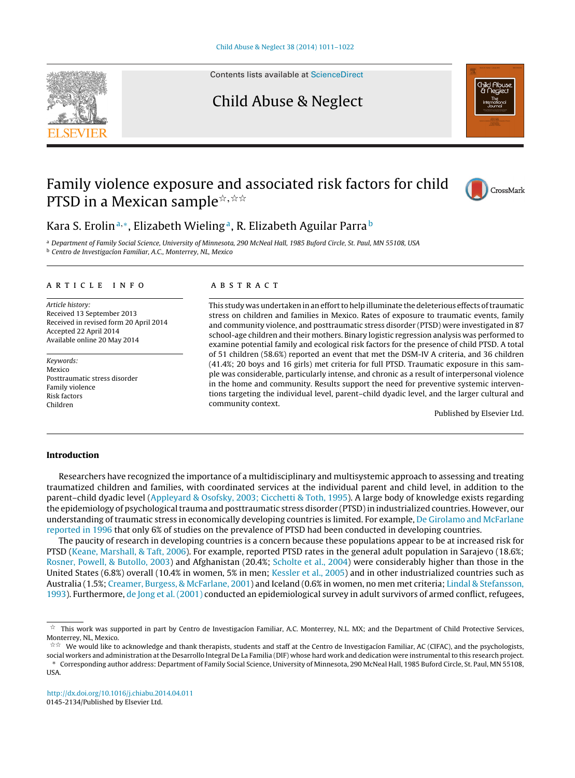Contents lists available at [ScienceDirect](http://www.sciencedirect.com/science/journal/01452134)

## Child Abuse & Neglect





### Kara S. Erolin<sup>a,∗</sup>, Elizabeth Wieling<sup>a</sup>, R. Elizabeth Aguilar Parra <sup>b</sup>

<sup>a</sup> Department of Family Social Science, University of Minnesota, 290 McNeal Hall, 1985 Buford Circle, St. Paul, MN 55108, USA <sup>b</sup> Centro de Investigacíon Familiar, A.C., Monterrey, NL, Mexico

#### article info

Article history: Received 13 September 2013 Received in revised form 20 April 2014 Accepted 22 April 2014 Available online 20 May 2014

Keywords: Mexico Posttraumatic stress disorder Family violence Risk factors Children

#### A B S T R A C T

This study was undertaken in an effort to help illuminate the deleterious effects of traumatic stress on children and families in Mexico. Rates of exposure to traumatic events, family and community violence, and posttraumatic stress disorder (PTSD) were investigated in 87 school-age children and their mothers. Binary logistic regression analysis was performed to examine potential family and ecological risk factors for the presence of child PTSD. A total of 51 children (58.6%) reported an event that met the DSM-IV A criteria, and 36 children (41.4%; 20 boys and 16 girls) met criteria for full PTSD. Traumatic exposure in this sample was considerable, particularly intense, and chronic as a result of interpersonal violence in the home and community. Results support the need for preventive systemic interventions targeting the individual level, parent–child dyadic level, and the larger cultural and community context.

Published by Elsevier Ltd.

#### **Introduction**

Researchers have recognized the importance of a multidisciplinary and multisystemic approach to assessing and treating traumatized children and families, with coordinated services at the individual parent and child level, in addition to the parent–child dyadic level ([Appleyard & Osofsky, 2003; Cicchetti & Toth, 1995\).](#page--1-0) A large body of knowledge exists regarding the epidemiology of psychological trauma and posttraumatic stress disorder (PTSD) in industrialized countries. However, our understanding of traumatic stress in economically developing countries is limited. For example, [De Girolamo and McFarlane](#page--1-0) [reported in 1996](#page--1-0) that only 6% of studies on the prevalence of PTSD had been conducted in developing countries.

The paucity of research in developing countries is a concern because these populations appear to be at increased risk for PTSD ([Keane, Marshall, & Taft, 2006\).](#page--1-0) For example, reported PTSD rates in the general adult population in Sarajevo (18.6%; [Rosner, Powell, & Butollo, 2003\)](#page--1-0) and Afghanistan (20.4%; [Scholte et al., 2004\)](#page--1-0) were considerably higher than those in the United States (6.8%) overall (10.4% in women, 5% in men; [Kessler et al., 2005\)](#page--1-0) and in other industrialized countries such as Australia (1.5%; [Creamer, Burgess, & McFarlane, 2001\) a](#page--1-0)nd Iceland (0.6% in women, no men met criteria; [Lindal & Stefansson,](#page--1-0) [1993\).](#page--1-0) Furthermore, [de Jong et al. \(2001\)](#page--1-0) conducted an epidemiological survey in adult survivors of armed conflict, refugees,

[http://dx.doi.org/10.1016/j.chiabu.2014.04.011](dx.doi.org/10.1016/j.chiabu.2014.04.011) 0145-2134/Published by Elsevier Ltd.

 $\hat{\pi}$  This work was supported in part by Centro de Investigacíon Familiar, A.C. Monterrey, N.L. MX; and the Department of Child Protective Services, Monterrey, NL, Mexico.

 $\hat{\star} \hat{\star}$  We would like to acknowledge and thank therapists, students and staff at the Centro de Investigacion Familiar, AC (CIFAC), and the psychologists, social workers and administration at the Desarrollo Integral De La Familia (DIF) whose hard work and dedication were instrumental to this research project.

<sup>∗</sup> Corresponding author address: Department of Family Social Science, University of Minnesota, 290 McNeal Hall, 1985 Buford Circle, St. Paul, MN 55108, USA.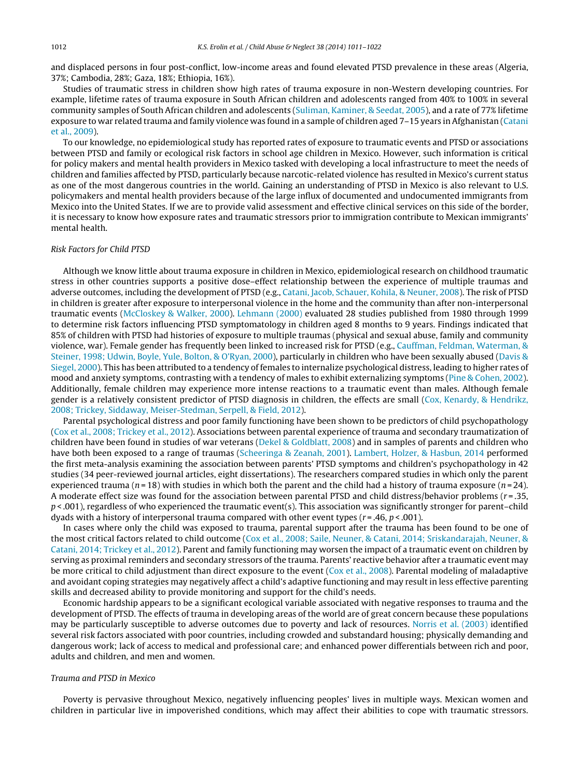and displaced persons in four post-conflict, low-income areas and found elevated PTSD prevalence in these areas (Algeria, 37%; Cambodia, 28%; Gaza, 18%; Ethiopia, 16%).

Studies of traumatic stress in children show high rates of trauma exposure in non-Western developing countries. For example, lifetime rates of trauma exposure in South African children and adolescents ranged from 40% to 100% in several community samples of South African children and adolescents [\(Suliman, Kaminer, & Seedat, 2005\),](#page--1-0) and a rate of 77% lifetime exposure to war related trauma and family violence was found in a sample of children aged 7–15 years in Afghanistan [\(Catani](#page--1-0) [et al., 2009\).](#page--1-0)

To our knowledge, no epidemiological study has reported rates of exposure to traumatic events and PTSD or associations between PTSD and family or ecological risk factors in school age children in Mexico. However, such information is critical for policy makers and mental health providers in Mexico tasked with developing a local infrastructure to meet the needs of children and families affected by PTSD, particularly because narcotic-related violence has resulted in Mexico's current status as one of the most dangerous countries in the world. Gaining an understanding of PTSD in Mexico is also relevant to U.S. policymakers and mental health providers because of the large influx of documented and undocumented immigrants from Mexico into the United States. If we are to provide valid assessment and effective clinical services on this side of the border, it is necessary to know how exposure rates and traumatic stressors prior to immigration contribute to Mexican immigrants' mental health.

#### Risk Factors for Child PTSD

Although we know little about trauma exposure in children in Mexico, epidemiological research on childhood traumatic stress in other countries supports a positive dose–effect relationship between the experience of multiple traumas and adverse outcomes, including the development of PTSD (e.g., [Catani, Jacob, Schauer, Kohila, & Neuner, 2008\).](#page--1-0) The risk of PTSD in children is greater after exposure to interpersonal violence in the home and the community than after non-interpersonal traumatic events ([McCloskey & Walker, 2000\).](#page--1-0) [Lehmann \(2000\)](#page--1-0) evaluated 28 studies published from 1980 through 1999 to determine risk factors influencing PTSD symptomatology in children aged 8 months to 9 years. Findings indicated that 85% of children with PTSD had histories of exposure to multiple traumas (physical and sexual abuse, family and community violence, war). Female gender has frequently been linked to increased risk for PTSD (e.g., [Cauffman, Feldman, Waterman, &](#page--1-0) [Steiner, 1998; Udwin, Boyle, Yule, Bolton, & O'Ryan, 2000\),](#page--1-0) particularly in children who have been sexually abused ([Davis &](#page--1-0) [Siegel, 2000\).](#page--1-0) This has been attributed to a tendency of females to internalize psychological distress, leading to higher rates of mood and anxiety symptoms, contrasting with a tendency of males to exhibit externalizing symptoms ([Pine & Cohen, 2002\).](#page--1-0) Additionally, female children may experience more intense reactions to a traumatic event than males. Although female gender is a relatively consistent predictor of PTSD diagnosis in children, the effects are small [\(Cox, Kenardy, & Hendrikz,](#page--1-0) [2008; Trickey, Siddaway, Meiser-Stedman, Serpell, & Field, 2012\).](#page--1-0)

Parental psychological distress and poor family functioning have been shown to be predictors of child psychopathology [\(Cox et al., 2008; Trickey et al., 2012\).](#page--1-0) Associations between parental experience of trauma and secondary traumatization of children have been found in studies of war veterans [\(Dekel & Goldblatt, 2008\)](#page--1-0) and in samples of parents and children who have both been exposed to a range of traumas ([Scheeringa & Zeanah, 2001\).](#page--1-0) [Lambert, Holzer, & Hasbun, 2014](#page--1-0) performed the first meta-analysis examining the association between parents' PTSD symptoms and children's psychopathology in 42 studies (34 peer-reviewed journal articles, eight dissertations). The researchers compared studies in which only the parent experienced trauma ( $n = 18$ ) with studies in which both the parent and the child had a history of trauma exposure ( $n = 24$ ). A moderate effect size was found for the association between parental PTSD and child distress/behavior problems  $(r = .35, ...)$  $p$  < .001), regardless of who experienced the traumatic event(s). This association was significantly stronger for parent–child dyads with a history of interpersonal trauma compared with other event types  $(r = .46, p < .001)$ .

In cases where only the child was exposed to trauma, parental support after the trauma has been found to be one of the most critical factors related to child outcome ([Cox et al., 2008; Saile, Neuner, & Catani, 2014; Sriskandarajah, Neuner, &](#page--1-0) [Catani, 2014; Trickey et al., 2012\).](#page--1-0) Parent and family functioning may worsen the impact of a traumatic event on children by serving as proximal reminders and secondary stressors of the trauma. Parents' reactive behavior after a traumatic event may be more critical to child adjustment than direct exposure to the event ([Cox et al., 2008\).](#page--1-0) Parental modeling of maladaptive and avoidant coping strategies may negatively affect a child's adaptive functioning and may result in less effective parenting skills and decreased ability to provide monitoring and support for the child's needs.

Economic hardship appears to be a significant ecological variable associated with negative responses to trauma and the development of PTSD. The effects of trauma in developing areas of the world are of great concern because these populations may be particularly susceptible to adverse outcomes due to poverty and lack of resources. [Norris et al. \(2003\)](#page--1-0) identified several risk factors associated with poor countries, including crowded and substandard housing; physically demanding and dangerous work; lack of access to medical and professional care; and enhanced power differentials between rich and poor, adults and children, and men and women.

#### Trauma and PTSD in Mexico

Poverty is pervasive throughout Mexico, negatively influencing peoples' lives in multiple ways. Mexican women and children in particular live in impoverished conditions, which may affect their abilities to cope with traumatic stressors.